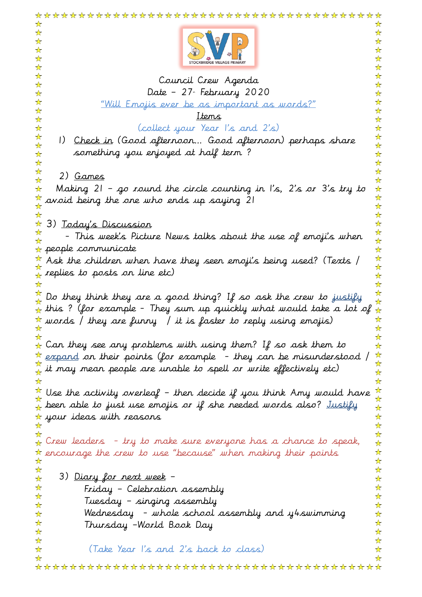| ☆                                                                                                                                                                                                             |
|---------------------------------------------------------------------------------------------------------------------------------------------------------------------------------------------------------------|
|                                                                                                                                                                                                               |
|                                                                                                                                                                                                               |
| Council Crew Agenda                                                                                                                                                                                           |
| ☆<br>Date – 27. February 2020<br>☆                                                                                                                                                                            |
| ☆<br>☆<br>☆<br><u>"Will Emojis ever be as important as words?"</u>                                                                                                                                            |
| ☆<br>☆<br><u>Items</u>                                                                                                                                                                                        |
| ☆<br>☆<br>(collect your Year I's and 2's)<br>☆<br>☆                                                                                                                                                           |
| ☆<br>☆<br>1) <u>Check in</u> (Good afternoon Good afternoon) perhaps share                                                                                                                                    |
| $\frac{1}{\sqrt{2}}$<br>☆<br>something you enjoyed at half term?                                                                                                                                              |
| ☆<br>☆<br>☆                                                                                                                                                                                                   |
| ☆<br>☆<br>2) <u>Games</u>                                                                                                                                                                                     |
| ☆<br>Making 21 - go round the circle counting in I's, 2's or 3's try to<br>$\frac{1}{\mathbf{k}}$<br>☆                                                                                                        |
| ☆                                                                                                                                                                                                             |
| avoid being the one who ends up saying 21                                                                                                                                                                     |
| ☆<br>3) <u>Today's Discussion</u>                                                                                                                                                                             |
| $\frac{1}{\mathbf{k}}$                                                                                                                                                                                        |
| - This week's Picture News talks about the use of emoji's when<br>$\frac{1}{2}$<br>$\star$ people communicate<br>☆                                                                                            |
| $\frac{1}{\sqrt{2}}$                                                                                                                                                                                          |
| $\frac{\pi}{\lambda}$ Ask the children when have they seen emoji's being used? (Texts /<br>$\frac{1}{\sqrt{2}}$<br>$\frac{\gamma}{\Lambda}$ replies to posts on line etc)                                     |
| ☆<br>☆                                                                                                                                                                                                        |
| $\frac{1}{\sqrt{2}}$                                                                                                                                                                                          |
| Do they think they are a good thing? If so ask the crew to justify<br>☆<br>$\frac{1}{N}$ this ? (for example - They sum up quickly what would take a lot of<br>$\frac{1}{\sqrt{2}}$                           |
| ☆<br>$\frac{1}{\lambda}$ words / they are funny / it is faster to reply using emojis)                                                                                                                         |
| ☆                                                                                                                                                                                                             |
| ☆<br>$\frac{1}{N}$ Can they see any problems with using them? If so ask them to<br>☆                                                                                                                          |
| $\frac{1}{\mathbf{k}}$                                                                                                                                                                                        |
| $\frac{\star}{\star}$ expand on their points (for example  – they can be misunderstood /<br>$\frac{\star}{\star}$ it may mean people are unable to spell or write effectively etc)<br>$\frac{1}{\mathcal{N}}$ |
| ☆<br>☆                                                                                                                                                                                                        |
| $\frac{1}{\sqrt{2}}$<br>Use the activity overleaf - then decide if you think Amy would have                                                                                                                   |
| ☆<br>$\frac{\alpha}{\lambda}$ been able to just use emojis or if she needed words also? Justify                                                                                                               |
| ☆<br>☆<br>$\frac{1}{N}$ your ideas with reasons                                                                                                                                                               |
| ☆                                                                                                                                                                                                             |
| ☆<br>$_\mathrm{\textbf{\textit{h}}}$ Crew leaders  – try to make sure everyone has a chance to speak,<br>$\frac{1}{2}$                                                                                        |
| ☆<br>$\star$ encourage the crew to use "because" when making their points                                                                                                                                     |
| ☆                                                                                                                                                                                                             |
| ☆<br>3) <u>Diary for next week</u> –<br>☆<br>☆                                                                                                                                                                |
| ☆<br>Friday - Celebration assembly                                                                                                                                                                            |
| ☆<br>Tuesday – singing assembly                                                                                                                                                                               |
| ☆<br>☆<br>Wednesday  – whole school assembly and y4swimming<br>☆<br>☆                                                                                                                                         |
| ☆<br>☆<br>Thursday -World Book Day                                                                                                                                                                            |
| ☆<br>☆                                                                                                                                                                                                        |
| ☆<br>☆<br>(Take Year I's and 2's back to class)<br>☆<br>☆                                                                                                                                                     |
| ⅍<br>⊻≿                                                                                                                                                                                                       |
|                                                                                                                                                                                                               |